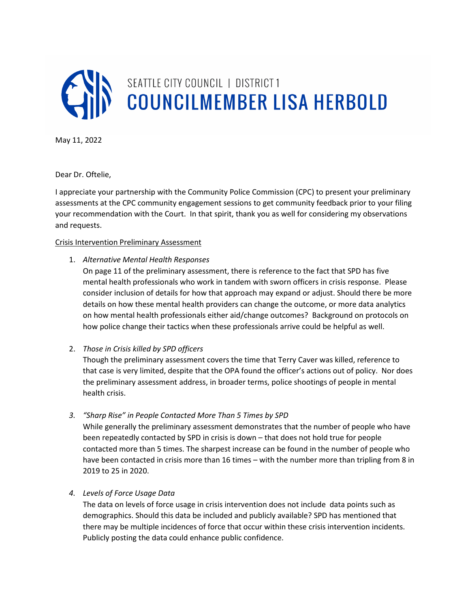

May 11, 2022

Dear Dr. Oftelie,

I appreciate your partnership with the Community Police Commission (CPC) to present your preliminary assessments at the CPC community engagement sessions to get community feedback prior to your filing your recommendation with the Court. In that spirit, thank you as well for considering my observations and requests.

### Crisis Intervention Preliminary Assessment

1. Alternative Mental Health Responses

On page 11 of the preliminary assessment, there is reference to the fact that SPD has five mental health professionals who work in tandem with sworn officers in crisis response. Please consider inclusion of details for how that approach may expand or adjust. Should there be more details on how these mental health providers can change the outcome, or more data analytics on how mental health professionals either aid/change outcomes? Background on protocols on how police change their tactics when these professionals arrive could be helpful as well.

# 2. Those in Crisis killed by SPD officers

Though the preliminary assessment covers the time that Terry Caver was killed, reference to that case is very limited, despite that the OPA found the officer's actions out of policy. Nor does the preliminary assessment address, in broader terms, police shootings of people in mental health crisis.

3. "Sharp Rise" in People Contacted More Than 5 Times by SPD

While generally the preliminary assessment demonstrates that the number of people who have been repeatedly contacted by SPD in crisis is down – that does not hold true for people contacted more than 5 times. The sharpest increase can be found in the number of people who have been contacted in crisis more than 16 times – with the number more than tripling from 8 in 2019 to 25 in 2020.

### 4. Levels of Force Usage Data

The data on levels of force usage in crisis intervention does not include data points such as demographics. Should this data be included and publicly available? SPD has mentioned that there may be multiple incidences of force that occur within these crisis intervention incidents. Publicly posting the data could enhance public confidence.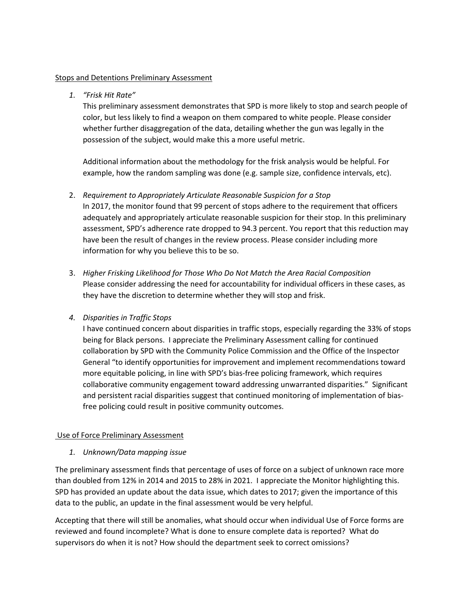### Stops and Detentions Preliminary Assessment

# 1. "Frisk Hit Rate"

This preliminary assessment demonstrates that SPD is more likely to stop and search people of color, but less likely to find a weapon on them compared to white people. Please consider whether further disaggregation of the data, detailing whether the gun was legally in the possession of the subject, would make this a more useful metric.

Additional information about the methodology for the frisk analysis would be helpful. For example, how the random sampling was done (e.g. sample size, confidence intervals, etc).

### 2. Requirement to Appropriately Articulate Reasonable Suspicion for a Stop

In 2017, the monitor found that 99 percent of stops adhere to the requirement that officers adequately and appropriately articulate reasonable suspicion for their stop. In this preliminary assessment, SPD's adherence rate dropped to 94.3 percent. You report that this reduction may have been the result of changes in the review process. Please consider including more information for why you believe this to be so.

3. Higher Frisking Likelihood for Those Who Do Not Match the Area Racial Composition Please consider addressing the need for accountability for individual officers in these cases, as they have the discretion to determine whether they will stop and frisk.

# 4. Disparities in Traffic Stops

I have continued concern about disparities in traffic stops, especially regarding the 33% of stops being for Black persons. I appreciate the Preliminary Assessment calling for continued collaboration by SPD with the Community Police Commission and the Office of the Inspector General "to identify opportunities for improvement and implement recommendations toward more equitable policing, in line with SPD's bias-free policing framework, which requires collaborative community engagement toward addressing unwarranted disparities." Significant and persistent racial disparities suggest that continued monitoring of implementation of biasfree policing could result in positive community outcomes.

### Use of Force Preliminary Assessment

# 1. Unknown/Data mapping issue

The preliminary assessment finds that percentage of uses of force on a subject of unknown race more than doubled from 12% in 2014 and 2015 to 28% in 2021. I appreciate the Monitor highlighting this. SPD has provided an update about the data issue, which dates to 2017; given the importance of this data to the public, an update in the final assessment would be very helpful.

Accepting that there will still be anomalies, what should occur when individual Use of Force forms are reviewed and found incomplete? What is done to ensure complete data is reported? What do supervisors do when it is not? How should the department seek to correct omissions?